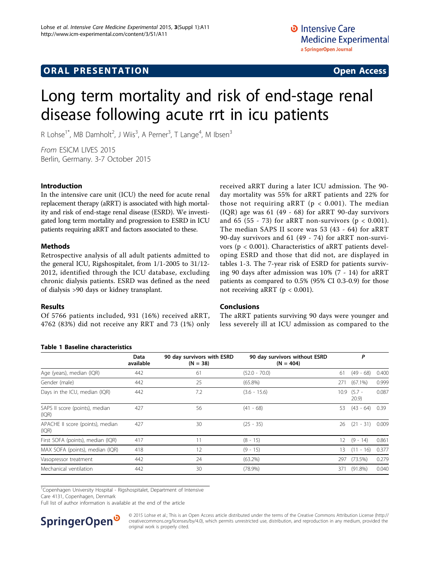# **ORAL PRESENTATION CONSUMING ACCESS**

# Long term mortality and risk of end-stage renal disease following acute rrt in icu patients

R Lohse<sup>1\*</sup>, MB Damholt<sup>2</sup>, J Wiis<sup>3</sup>, A Perner<sup>3</sup>, T Lange<sup>4</sup>, M Ibsen<sup>3</sup>

From ESICM LIVES 2015 Berlin, Germany. 3-7 October 2015

# Introduction

In the intensive care unit (ICU) the need for acute renal replacement therapy (aRRT) is associated with high mortality and risk of end-stage renal disease (ESRD). We investigated long term mortality and progression to ESRD in ICU patients requiring aRRT and factors associated to these.

### Methods

Retrospective analysis of all adult patients admitted to the general ICU, Rigshospitalet, from 1/1-2005 to 31/12- 2012, identified through the ICU database, excluding chronic dialysis patients. ESRD was defined as the need of dialysis >90 days or kidney transplant.

#### Results

Of 5766 patients included, 931 (16%) received aRRT, 4762 (83%) did not receive any RRT and 73 (1%) only

#### Table 1 Baseline characteristics

received aRRT during a later ICU admission. The 90 day mortality was 55% for aRRT patients and 22% for those not requiring aRRT ( $p < 0.001$ ). The median (IQR) age was 61 (49 - 68) for aRRT 90-day survivors and 65 (55 - 73) for aRRT non-survivors ( $p < 0.001$ ). The median SAPS II score was 53 (43 - 64) for aRRT 90-day survivors and 61 (49 - 74) for aRRT non-survivors (p < 0.001). Characteristics of aRRT patients developing ESRD and those that did not, are displayed in tables 1-[3.](#page-1-0) The 7-year risk of ESRD for patients surviving 90 days after admission was 10% (7 - 14) for aRRT patients as compared to 0.5% (95% CI 0.3-0.9) for those not receiving aRRT ( $p < 0.001$ ).

## Conclusions

The aRRT patients surviving 90 days were younger and less severely ill at ICU admission as compared to the

|                                           | <b>Data</b><br>available | 90 day survivors with ESRD<br>$(N = 38)$ | 90 day survivors without ESRD<br>$(N = 404)$ | Ρ    |                  |       |
|-------------------------------------------|--------------------------|------------------------------------------|----------------------------------------------|------|------------------|-------|
| Age (years), median (IQR)                 | 442                      | 61                                       | $(52.0 - 70.0)$                              | 61   | $(49 - 68)$      | 0.400 |
| Gender (male)                             | 442                      | 25                                       | $(65.8\%)$                                   | 271  | $(67.1\%)$       | 0.999 |
| Days in the ICU, median (IQR)             | 442                      | 7.2                                      | $(3.6 - 15.6)$                               | 10.9 | $(5.7 -$<br>20.9 | 0.087 |
| SAPS II score (points), median<br>(IQR)   | 427                      | 56                                       | $(41 - 68)$                                  | 53   | $(43 - 64)$      | 0.39  |
| APACHE II score (points), median<br>(IQR) | 427                      | 30                                       | $(25 - 35)$                                  | 26   | $-31)$<br>(21)   | 0.009 |
| First SOFA (points), median (IQR)         | 417                      | 11                                       | $(8 - 15)$                                   | 12   | $(9 - 14)$       | 0.861 |
| MAX SOFA (points), median (IQR)           | 418                      | 12                                       | $(9 - 15)$                                   | 13   | (11)<br>$-16$    | 0.377 |
| Vasopressor treatment                     | 442                      | 24                                       | $(63.2\%)$                                   | 297  | (73.5%)          | 0.279 |
| Mechanical ventilation                    | 442                      | 30                                       | $(78.9\%)$                                   | 371  | $(91.8\%)$       | 0.040 |

<sup>1</sup>Copenhagen University Hospital - Rigshospitalet, Department of Intensive

Care 4131, Copenhagen, Denmark

Full list of author information is available at the end of the article



© 2015 Lohse et al.; This is an Open Access article distributed under the terms of the Creative Commons Attribution License [\(http://](http://creativecommons.org/licenses/by/4.0) [creativecommons.org/licenses/by/4.0](http://creativecommons.org/licenses/by/4.0)), which permits unrestricted use, distribution, and reproduction in any medium, provided the original work is properly cited.